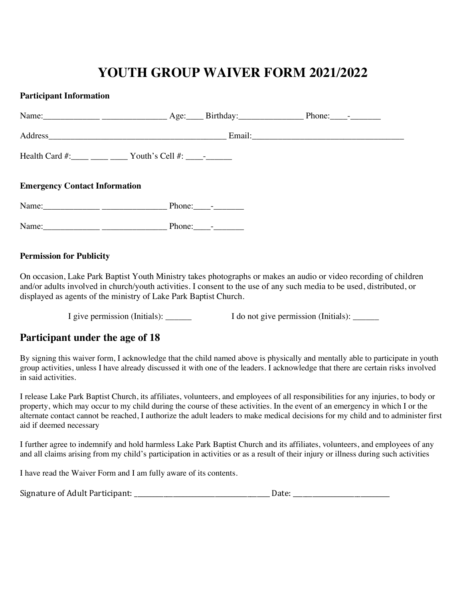# **YOUTH GROUP WAIVER FORM 2021/2022**

#### **Participant Information**

|                                      | Health Card $\#$ : _____ _____ _____ Youth's Cell $\#$ : _________ |                             |  |
|--------------------------------------|--------------------------------------------------------------------|-----------------------------|--|
| <b>Emergency Contact Information</b> |                                                                    |                             |  |
|                                      |                                                                    | Phone: $\frac{1}{\sqrt{2}}$ |  |
|                                      |                                                                    | Phone: $\frac{1}{\sqrt{2}}$ |  |

#### **Permission for Publicity**

On occasion, Lake Park Baptist Youth Ministry takes photographs or makes an audio or video recording of children and/or adults involved in church/youth activities. I consent to the use of any such media to be used, distributed, or displayed as agents of the ministry of Lake Park Baptist Church.

I give permission (Initials):  $\qquad \qquad$  I do not give permission (Initials):  $\qquad \qquad$ 

## **Participant under the age of 18**

By signing this waiver form, I acknowledge that the child named above is physically and mentally able to participate in youth group activities, unless I have already discussed it with one of the leaders. I acknowledge that there are certain risks involved in said activities.

I release Lake Park Baptist Church, its affiliates, volunteers, and employees of all responsibilities for any injuries, to body or property, which may occur to my child during the course of these activities. In the event of an emergency in which I or the alternate contact cannot be reached, I authorize the adult leaders to make medical decisions for my child and to administer first aid if deemed necessary

I further agree to indemnify and hold harmless Lake Park Baptist Church and its affiliates, volunteers, and employees of any and all claims arising from my child's participation in activities or as a result of their injury or illness during such activities

I have read the Waiver Form and I am fully aware of its contents.

| Signature of Adult Participant: |  |
|---------------------------------|--|
|                                 |  |